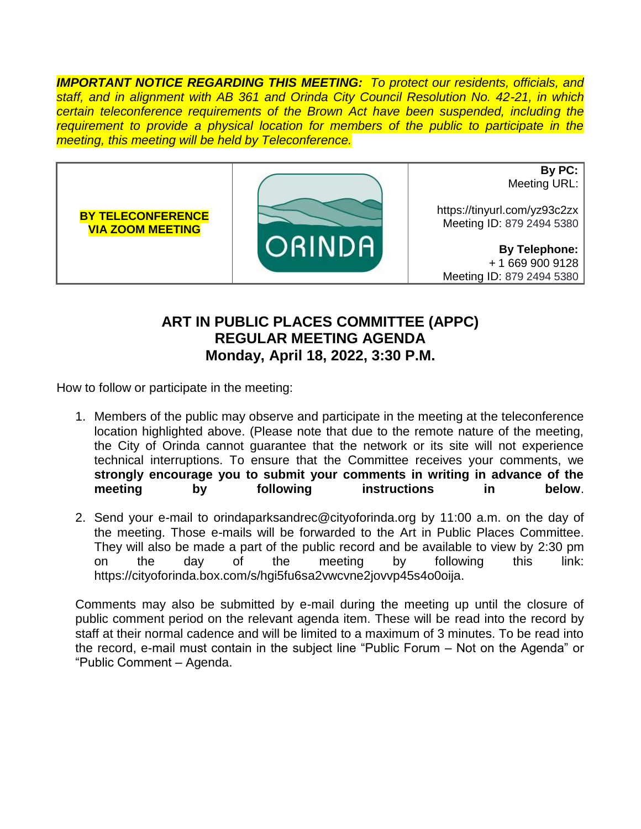*IMPORTANT NOTICE REGARDING THIS MEETING: To protect our residents, officials, and staff, and in alignment with AB 361 and Orinda City Council Resolution No. 42-21, in which certain teleconference requirements of the Brown Act have been suspended, including the requirement to provide a physical location for members of the public to participate in the meeting, this meeting will be held by Teleconference.*



## **ART IN PUBLIC PLACES COMMITTEE (APPC) REGULAR MEETING AGENDA Monday, April 18, 2022, 3:30 P.M.**

How to follow or participate in the meeting:

- 1. Members of the public may observe and participate in the meeting at the teleconference location highlighted above. (Please note that due to the remote nature of the meeting, the City of Orinda cannot guarantee that the network or its site will not experience technical interruptions. To ensure that the Committee receives your comments, we **strongly encourage you to submit your comments in writing in advance of the meeting by following instructions in below**.
- 2. Send your e-mail to orindaparksandrec@cityoforinda.org by 11:00 a.m. on the day of the meeting. Those e-mails will be forwarded to the Art in Public Places Committee. They will also be made a part of the public record and be available to view by 2:30 pm on the day of the meeting by following this link: https://cityoforinda.box.com/s/hgi5fu6sa2vwcvne2jovvp45s4o0oija.

Comments may also be submitted by e-mail during the meeting up until the closure of public comment period on the relevant agenda item. These will be read into the record by staff at their normal cadence and will be limited to a maximum of 3 minutes. To be read into the record, e-mail must contain in the subject line "Public Forum – Not on the Agenda" or "Public Comment – Agenda.